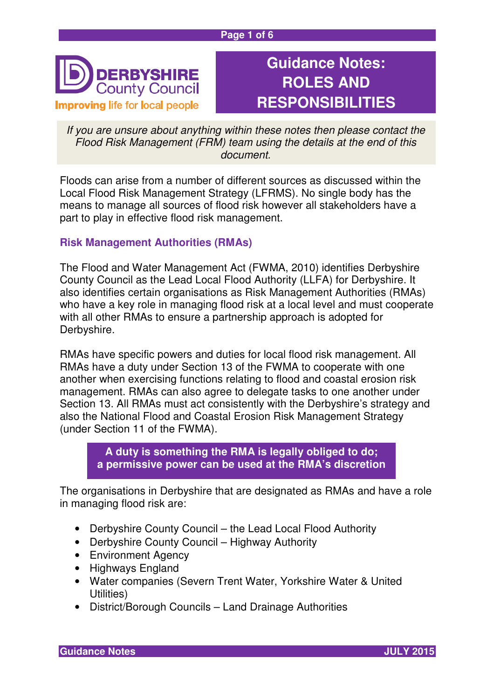#### **Page 1 of 6**



# **Guidance Notes: ROLES AND RESPONSIBILITIES**

If you are unsure about anything within these notes then please contact the Flood Risk Management (FRM) team using the details at the end of this document.

Floods can arise from a number of different sources as discussed within the Local Flood Risk Management Strategy (LFRMS). No single body has the means to manage all sources of flood risk however all stakeholders have a part to play in effective flood risk management.

#### **Risk Management Authorities (RMAs)**

The Flood and Water Management Act (FWMA, 2010) identifies Derbyshire County Council as the Lead Local Flood Authority (LLFA) for Derbyshire. It also identifies certain organisations as Risk Management Authorities (RMAs) who have a key role in managing flood risk at a local level and must cooperate with all other RMAs to ensure a partnership approach is adopted for Derbyshire.

RMAs have specific powers and duties for local flood risk management. All RMAs have a duty under Section 13 of the FWMA to cooperate with one another when exercising functions relating to flood and coastal erosion risk management. RMAs can also agree to delegate tasks to one another under Section 13. All RMAs must act consistently with the Derbyshire's strategy and also the National Flood and Coastal Erosion Risk Management Strategy (under Section 11 of the FWMA).

**A duty is something the RMA is legally obliged to do; a permissive power can be used at the RMA's discretion** 

The organisations in Derbyshire that are designated as RMAs and have a role in managing flood risk are:

- Derbyshire County Council the Lead Local Flood Authority
- Derbyshire County Council Highway Authority
- Environment Agency
- Highways England
- Water companies (Severn Trent Water, Yorkshire Water & United Utilities)
- District/Borough Councils Land Drainage Authorities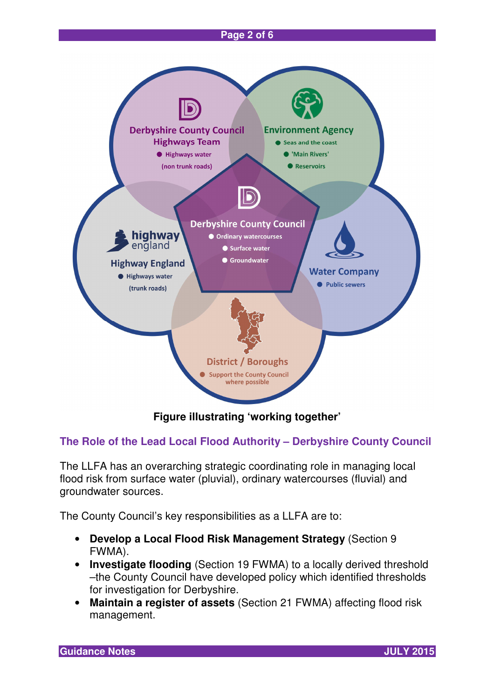#### **Page 2 of 6**



**Figure illustrating 'working together'** 

### **The Role of the Lead Local Flood Authority – Derbyshire County Council**

The LLFA has an overarching strategic coordinating role in managing local flood risk from surface water (pluvial), ordinary watercourses (fluvial) and groundwater sources.

The County Council's key responsibilities as a LLFA are to:

- **Develop a Local Flood Risk Management Strategy** (Section 9 FWMA).
- **Investigate flooding** (Section 19 FWMA) to a locally derived threshold –the County Council have developed policy which identified thresholds for investigation for Derbyshire.
- **Maintain a register of assets** (Section 21 FWMA) affecting flood risk management.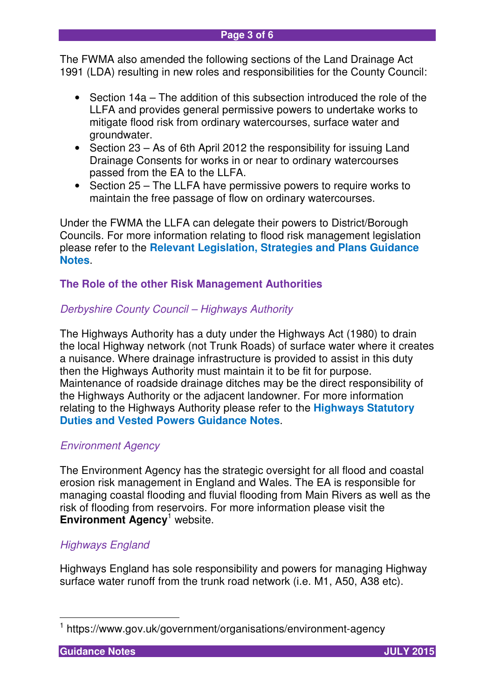The FWMA also amended the following sections of the Land Drainage Act 1991 (LDA) resulting in new roles and responsibilities for the County Council:

- Section 14a The addition of this subsection introduced the role of the LLFA and provides general permissive powers to undertake works to mitigate flood risk from ordinary watercourses, surface water and groundwater.
- Section 23 As of 6th April 2012 the responsibility for issuing Land Drainage Consents for works in or near to ordinary watercourses passed from the EA to the LLFA.
- Section 25 The LLFA have permissive powers to require works to maintain the free passage of flow on ordinary watercourses.

Under the FWMA the LLFA can delegate their powers to District/Borough Councils. For more information relating to flood risk management legislation please refer to the **Relevant Legislation, Strategies and Plans Guidance Notes**.

## **The Role of the other Risk Management Authorities**

### Derbyshire County Council – Highways Authority

The Highways Authority has a duty under the Highways Act (1980) to drain the local Highway network (not Trunk Roads) of surface water where it creates a nuisance. Where drainage infrastructure is provided to assist in this duty then the Highways Authority must maintain it to be fit for purpose. Maintenance of roadside drainage ditches may be the direct responsibility of the Highways Authority or the adjacent landowner. For more information relating to the Highways Authority please refer to the **Highways Statutory Duties and Vested Powers Guidance Notes**.

### Environment Agency

The Environment Agency has the strategic oversight for all flood and coastal erosion risk management in England and Wales. The EA is responsible for managing coastal flooding and fluvial flooding from Main Rivers as well as the risk of flooding from reservoirs. For more information please visit the **Environment Agency<sup>1</sup> website.** 

### Highways England

Highways England has sole responsibility and powers for managing Highway surface water runoff from the trunk road network (i.e. M1, A50, A38 etc).

 1 https://www.gov.uk/government/organisations/environment-agency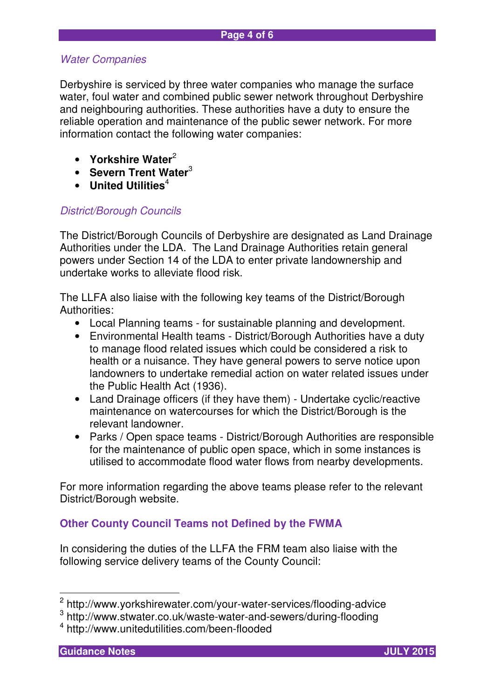#### Water Companies

Derbyshire is serviced by three water companies who manage the surface water, foul water and combined public sewer network throughout Derbyshire and neighbouring authorities. These authorities have a duty to ensure the reliable operation and maintenance of the public sewer network. For more information contact the following water companies:

- **Yorkshire Water**<sup>2</sup>
- **Severn Trent Water**<sup>3</sup>
- **United Utilities**<sup>4</sup>

#### District/Borough Councils

The District/Borough Councils of Derbyshire are designated as Land Drainage Authorities under the LDA. The Land Drainage Authorities retain general powers under Section 14 of the LDA to enter private landownership and undertake works to alleviate flood risk.

The LLFA also liaise with the following key teams of the District/Borough Authorities:

- Local Planning teams for sustainable planning and development.
- Environmental Health teams District/Borough Authorities have a duty to manage flood related issues which could be considered a risk to health or a nuisance. They have general powers to serve notice upon landowners to undertake remedial action on water related issues under the Public Health Act (1936).
- Land Drainage officers (if they have them) Undertake cyclic/reactive maintenance on watercourses for which the District/Borough is the relevant landowner.
- Parks / Open space teams District/Borough Authorities are responsible for the maintenance of public open space, which in some instances is utilised to accommodate flood water flows from nearby developments.

For more information regarding the above teams please refer to the relevant District/Borough website.

### **Other County Council Teams not Defined by the FWMA**

In considering the duties of the LLFA the FRM team also liaise with the following service delivery teams of the County Council:



 2 http://www.yorkshirewater.com/your-water-services/flooding-advice

<sup>3</sup> http://www.stwater.co.uk/waste-water-and-sewers/during-flooding

<sup>4</sup> http://www.unitedutilities.com/been-flooded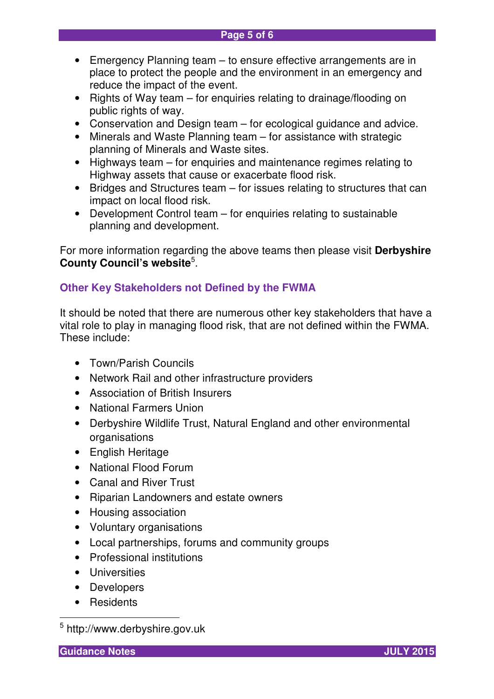- Emergency Planning team to ensure effective arrangements are in place to protect the people and the environment in an emergency and reduce the impact of the event.
- Rights of Way team for enquiries relating to drainage/flooding on public rights of way.
- Conservation and Design team for ecological guidance and advice.
- Minerals and Waste Planning team for assistance with strategic planning of Minerals and Waste sites.
- Highways team for enquiries and maintenance regimes relating to Highway assets that cause or exacerbate flood risk.
- Bridges and Structures team for issues relating to structures that can impact on local flood risk.
- Development Control team for enquiries relating to sustainable planning and development.

For more information regarding the above teams then please visit **Derbyshire County Council's website<sup>5</sup>.** 

## **Other Key Stakeholders not Defined by the FWMA**

It should be noted that there are numerous other key stakeholders that have a vital role to play in managing flood risk, that are not defined within the FWMA. These include:

- Town/Parish Councils
- Network Rail and other infrastructure providers
- Association of British Insurers
- National Farmers Union
- Derbyshire Wildlife Trust, Natural England and other environmental organisations
- English Heritage
- National Flood Forum
- Canal and River Trust
- Riparian Landowners and estate owners
- Housing association
- Voluntary organisations
- Local partnerships, forums and community groups
- Professional institutions
- Universities
- Developers
- Residents

**Guidance Notes JULY 2015** 

 $\overline{\phantom{a}}$ 

<sup>&</sup>lt;sup>5</sup> http://www.derbyshire.gov.uk